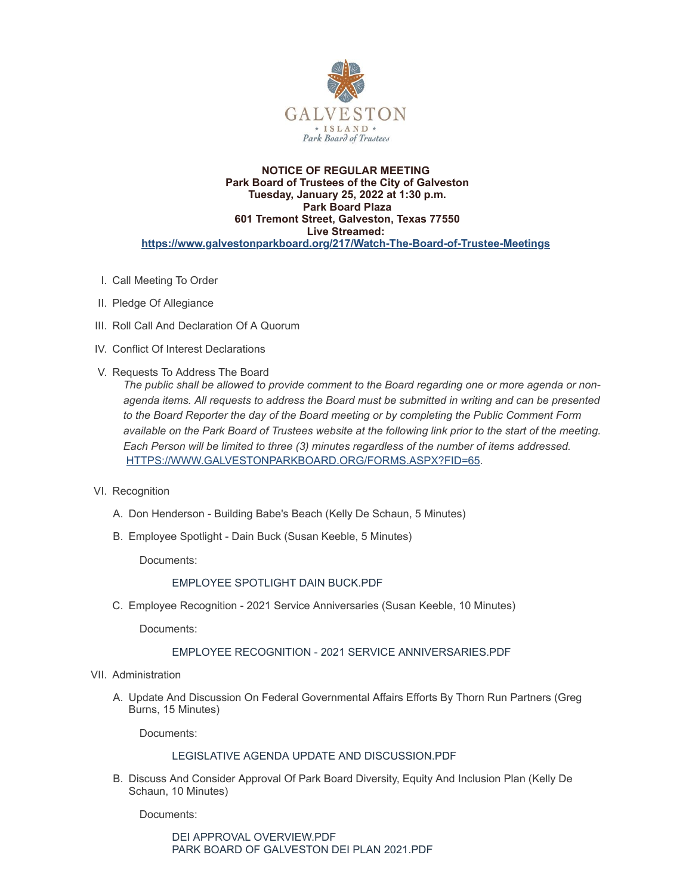

### **NOTICE OF REGULAR MEETING Park Board of Trustees of the City of Galveston Tuesday, January 25, 2022 at 1:30 p.m. Park Board Plaza 601 Tremont Street, Galveston, Texas 77550 Live Streamed: <https://www.galvestonparkboard.org/217/Watch-The-Board-of-Trustee-Meetings>**

- I. Call Meeting To Order
- II. Pledge Of Allegiance
- III. Roll Call And Declaration Of A Quorum
- IV. Conflict Of Interest Declarations
- V. Requests To Address The Board

*The public shall be allowed to provide comment to the Board regarding one or more agenda or nonagenda items. All requests to address the Board must be submitted in writing and can be presented to the Board Reporter the day of the Board meeting or by completing the Public Comment Form* available on the Park Board of Trustees website at the following link prior to the start of the meeting. *Each Person will be limited to three (3) minutes regardless of the number of items addressed.* [HTTPS://WWW.GALVESTONPARKBOARD.ORG/FORMS.ASPX?FID=65](https://www.galvestonparkboard.org/forms.aspx?FID=65)*.*

- VI. Recognition
	- A. Don Henderson Building Babe's Beach (Kelly De Schaun, 5 Minutes)
	- B. Employee Spotlight Dain Buck (Susan Keeble, 5 Minutes)

Documents:

# EMPLOYEE [SPOTLIGHT](https://www.galvestonparkboard.org/AgendaCenter/ViewFile/Item/7054?fileID=10344) DAIN BUCK.PDF

C. Employee Recognition - 2021 Service Anniversaries (Susan Keeble, 10 Minutes)

Documents:

# EMPLOYEE RECOGNITION - 2021 SERVICE ANNIVERSARIES PDF

- VII. Administration
	- A. Update And Discussion On Federal Governmental Affairs Efforts By Thorn Run Partners (Greg Burns, 15 Minutes)

Documents:

# LEGISLATIVE AGENDA UPDATE AND [DISCUSSION.PDF](https://www.galvestonparkboard.org/AgendaCenter/ViewFile/Item/7198?fileID=10665)

B. Discuss And Consider Approval Of Park Board Diversity, Equity And Inclusion Plan (Kelly De Schaun, 10 Minutes)

Documents:

DEI APPROVAL [OVERVIEW.PDF](https://www.galvestonparkboard.org/AgendaCenter/ViewFile/Item/7009?fileID=10228) PARK BOARD OF [GALVESTON](https://www.galvestonparkboard.org/AgendaCenter/ViewFile/Item/7009?fileID=10229) DEI PLAN 2021.PDF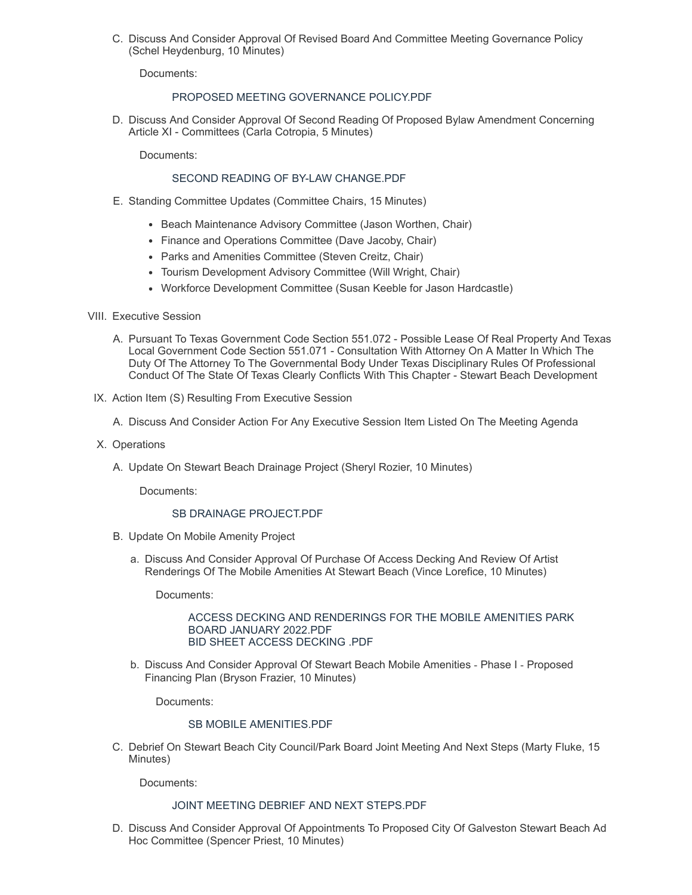C. Discuss And Consider Approval Of Revised Board And Committee Meeting Governance Policy (Schel Heydenburg, 10 Minutes)

Documents:

# PROPOSED MEETING [GOVERNANCE](https://www.galvestonparkboard.org/AgendaCenter/ViewFile/Item/7215?fileID=10662) POLICY.PDF

D. Discuss And Consider Approval Of Second Reading Of Proposed Bylaw Amendment Concerning Article XI - Committees (Carla Cotropia, 5 Minutes)

Documents:

# SECOND READING OF BY-LAW [CHANGE.PDF](https://www.galvestonparkboard.org/AgendaCenter/ViewFile/Item/7196?fileID=10661)

- E. Standing Committee Updates (Committee Chairs, 15 Minutes)
	- Beach Maintenance Advisory Committee (Jason Worthen, Chair)
	- Finance and Operations Committee (Dave Jacoby, Chair)
	- Parks and Amenities Committee (Steven Creitz, Chair)
	- Tourism Development Advisory Committee (Will Wright, Chair)
	- Workforce Development Committee (Susan Keeble for Jason Hardcastle)
- VIII. Executive Session
	- A. Pursuant To Texas Government Code Section 551.072 Possible Lease Of Real Property And Texas Local Government Code Section 551.071 - Consultation With Attorney On A Matter In Which The Duty Of The Attorney To The Governmental Body Under Texas Disciplinary Rules Of Professional Conduct Of The State Of Texas Clearly Conflicts With This Chapter - Stewart Beach Development
- IX. Action Item (S) Resulting From Executive Session
	- A. Discuss And Consider Action For Any Executive Session Item Listed On The Meeting Agenda
- X. Operations
	- A. Update On Stewart Beach Drainage Project (Sheryl Rozier, 10 Minutes)

Documents:

#### SB DRAINAGE [PROJECT.PDF](https://www.galvestonparkboard.org/AgendaCenter/ViewFile/Item/7199?fileID=10666)

- B. Update On Mobile Amenity Project
	- a. Discuss And Consider Approval Of Purchase Of Access Decking And Review Of Artist Renderings Of The Mobile Amenities At Stewart Beach (Vince Lorefice, 10 Minutes)

Documents:

#### ACCESS DECKING AND [RENDERINGS](https://www.galvestonparkboard.org/AgendaCenter/ViewFile/Item/7193?fileID=10660) FOR THE MOBILE AMENITIES PARK BOARD JANUARY 2022.PDF BID SHEET ACCESS [DECKING](https://www.galvestonparkboard.org/AgendaCenter/ViewFile/Item/7193?fileID=10657) .PDF

b. Discuss And Consider Approval Of Stewart Beach Mobile Amenities ‐ Phase I ‐ Proposed Financing Plan (Bryson Frazier, 10 Minutes)

Documents:

### SB MOBILE [AMENITIES.PDF](https://www.galvestonparkboard.org/AgendaCenter/ViewFile/Item/7195?fileID=10659)

C. Debrief On Stewart Beach City Council/Park Board Joint Meeting And Next Steps (Marty Fluke, 15 Minutes)

Documents:

### JOINT MEETING DEBRIEF AND NEXT [STEPS.PDF](https://www.galvestonparkboard.org/AgendaCenter/ViewFile/Item/7220?fileID=10667)

D. Discuss And Consider Approval Of Appointments To Proposed City Of Galveston Stewart Beach Ad Hoc Committee (Spencer Priest, 10 Minutes)